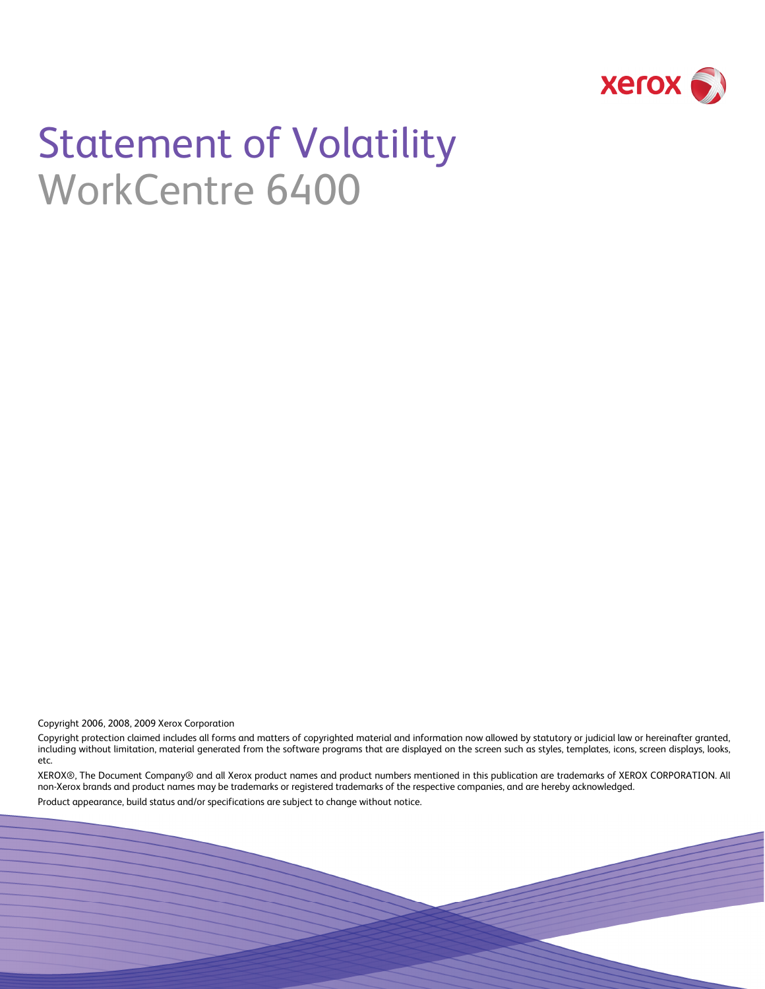

# Statement of Volatility WorkCentre 6400

Copyright 2006, 2008, 2009 Xerox Corporation

Copyright protection claimed includes all forms and matters of copyrighted material and information now allowed by statutory or judicial law or hereinafter granted, including without limitation, material generated from the software programs that are displayed on the screen such as styles, templates, icons, screen displays, looks, etc.

XEROX®, The Document Company® and all Xerox product names and product numbers mentioned in this publication are trademarks of XEROX CORPORATION. All non-Xerox brands and product names may be trademarks or registered trademarks of the respective companies, and are hereby acknowledged.

Product appearance, build status and/or specifications are subject to change without notice.

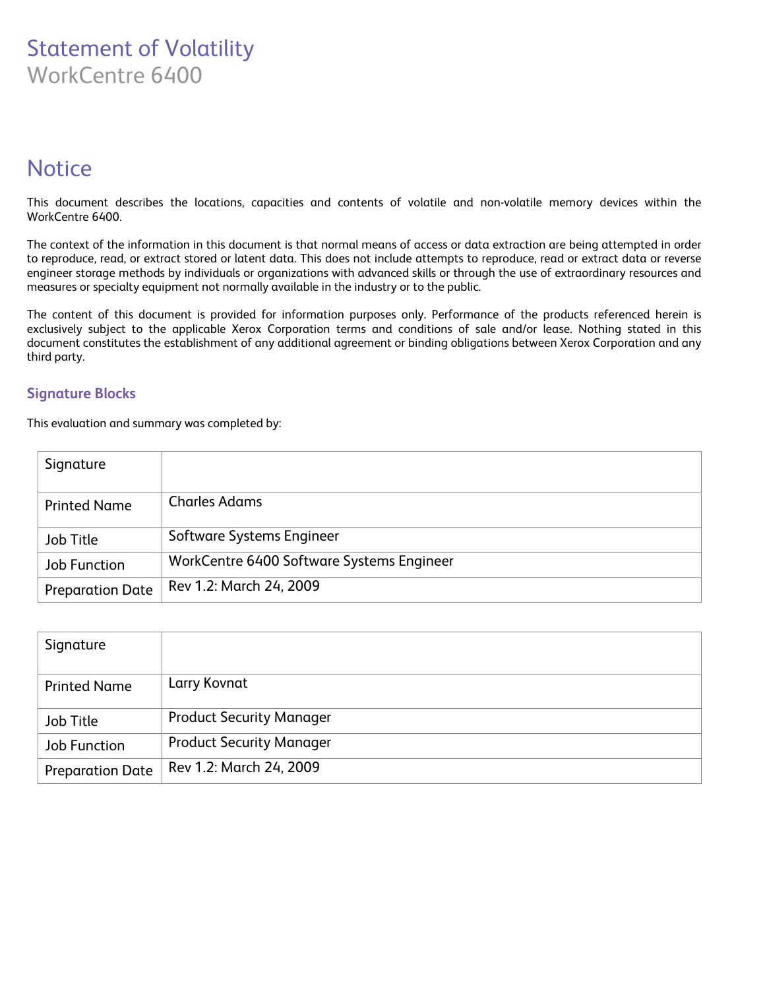### Statement of Volatility WorkCentre 6400

### **Notice**

This document describes the locations, capacities and contents of volatile and non-volatile memory devices within the WorkCentre 6400.

The context of the information in this document is that normal means of access or data extraction are being attempted in order to reproduce, read, or extract stored or latent data. This does not include attempts to reproduce, read or extract data or reverse engineer storage methods by individuals or organizations with advanced skills or through the use of extraordinary resources and measures or specialty equipment not normally available in the industry or to the public.

The content of this document is provided for information purposes only. Performance of the products referenced herein is exclusively subject to the applicable Xerox Corporation terms and conditions of sale and/or lease. Nothing stated in this document constitutes the establishment of any additional agreement or binding obligations between Xerox Corporation and any third party.

#### **Signature Blocks**

This evaluation and summary was completed by:

| Signature               |                                           |
|-------------------------|-------------------------------------------|
| <b>Printed Name</b>     | <b>Charles Adams</b>                      |
| Job Title               | Software Systems Engineer                 |
| Job Function            | WorkCentre 6400 Software Systems Engineer |
| <b>Preparation Date</b> | Rev 1.2: March 24, 2009                   |

| Signature               |                                 |
|-------------------------|---------------------------------|
| <b>Printed Name</b>     | Larry Kovnat                    |
| Job Title               | <b>Product Security Manager</b> |
| <b>Job Function</b>     | <b>Product Security Manager</b> |
| <b>Preparation Date</b> | Rev 1.2: March 24, 2009         |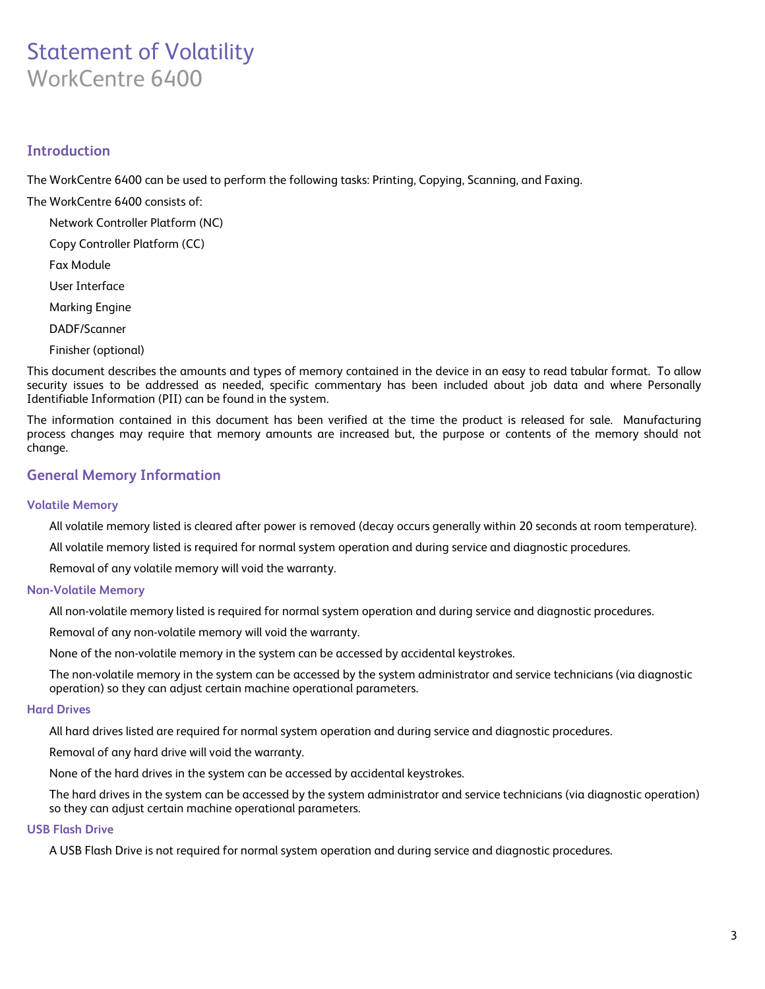## Statement of Volatility WorkCentre 6400

#### **Introduction**

The WorkCentre 6400 can be used to perform the following tasks: Printing, Copying, Scanning, and Faxing.

The WorkCentre 6400 consists of:

- Network Controller Platform (NC)
- Copy Controller Platform (CC)
- Fax Module
- User Interface
- Marking Engine
- DADF/Scanner
- Finisher (optional)

This document describes the amounts and types of memory contained in the device in an easy to read tabular format. To allow security issues to be addressed as needed, specific commentary has been included about job data and where Personally Identifiable Information (PII) can be found in the system.

The information contained in this document has been verified at the time the product is released for sale. Manufacturing process changes may require that memory amounts are increased but, the purpose or contents of the memory should not change.

#### **General Memory Information**

#### **Volatile Memory**

All volatile memory listed is cleared after power is removed (decay occurs generally within 20 seconds at room temperature).

All volatile memory listed is required for normal system operation and during service and diagnostic procedures.

Removal of any volatile memory will void the warranty.

#### **Non-Volatile Memory**

All non-volatile memory listed is required for normal system operation and during service and diagnostic procedures.

Removal of any non-volatile memory will void the warranty.

None of the non-volatile memory in the system can be accessed by accidental keystrokes.

The non-volatile memory in the system can be accessed by the system administrator and service technicians (via diagnostic operation) so they can adjust certain machine operational parameters.

#### **Hard Drives**

All hard drives listed are required for normal system operation and during service and diagnostic procedures.

Removal of any hard drive will void the warranty.

None of the hard drives in the system can be accessed by accidental keystrokes.

The hard drives in the system can be accessed by the system administrator and service technicians (via diagnostic operation) so they can adjust certain machine operational parameters.

#### **USB Flash Drive**

A USB Flash Drive is not required for normal system operation and during service and diagnostic procedures.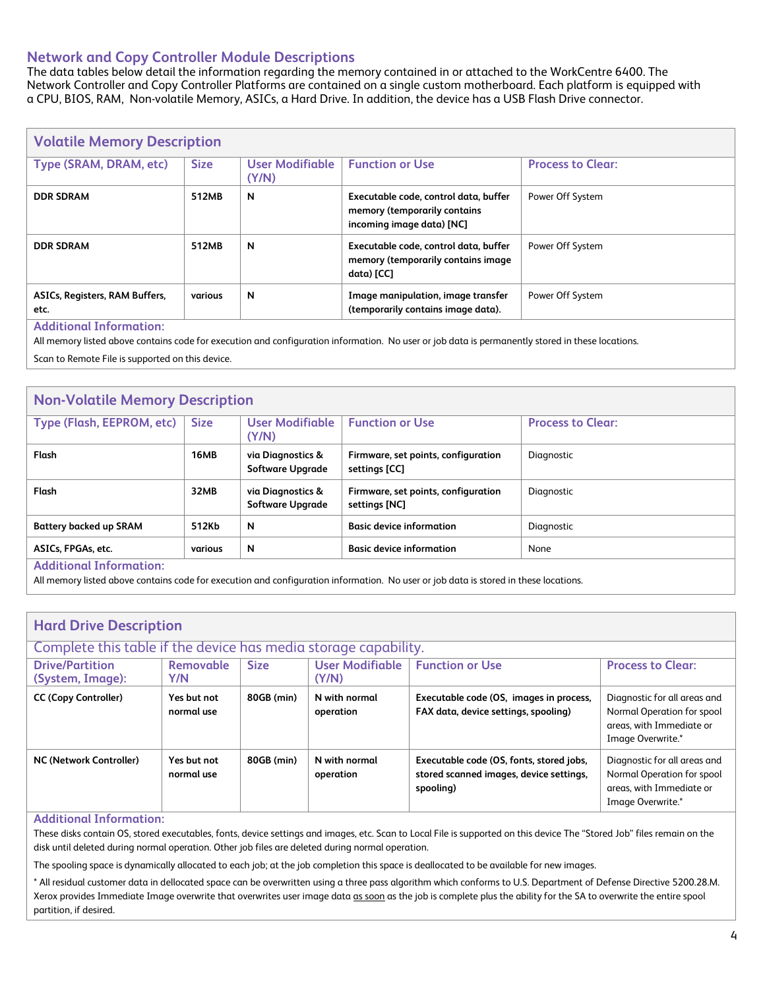#### **Network and Copy Controller Module Descriptions**

The data tables below detail the information regarding the memory contained in or attached to the WorkCentre 6400. The Network Controller and Copy Controller Platforms are contained on a single custom motherboard. Each platform is equipped with a CPU, BIOS, RAM, Non-volatile Memory, ASICs, a Hard Drive. In addition, the device has a USB Flash Drive connector.

| <b>Volatile Memory Description</b>     |             |                          |                                                                                                    |                          |  |  |
|----------------------------------------|-------------|--------------------------|----------------------------------------------------------------------------------------------------|--------------------------|--|--|
| Type (SRAM, DRAM, etc)                 | <b>Size</b> | User Modifiable<br>(Y/N) | <b>Function or Use</b>                                                                             | <b>Process to Clear:</b> |  |  |
| <b>DDR SDRAM</b>                       | 512MB       | N                        | Executable code, control data, buffer<br>memory (temporarily contains<br>incoming image data) [NC] | Power Off System         |  |  |
| <b>DDR SDRAM</b>                       | 512MB       | N                        | Executable code, control data, buffer<br>memory (temporarily contains image<br>data) [CC]          | Power Off System         |  |  |
| ASICs, Registers, RAM Buffers,<br>etc. | various     | N                        | Image manipulation, image transfer<br>(temporarily contains image data).                           | Power Off System         |  |  |
| <b>Additional Information:</b>         |             |                          |                                                                                                    |                          |  |  |

**Additional Information:**

All memory listed above contains code for execution and configuration information. No user or job data is permanently stored in these locations.

Scan to Remote File is supported on this device.

#### **Non-Volatile Memory Description**

| Type (Flash, EEPROM, etc)     | <b>Size</b> | User Modifiable<br>(Y/N)                     | <b>Function or Use</b>                               | <b>Process to Clear:</b> |
|-------------------------------|-------------|----------------------------------------------|------------------------------------------------------|--------------------------|
| Flash                         | 16MB        | via Diagnostics &<br><b>Software Upgrade</b> | Firmware, set points, configuration<br>settings [CC] | Diagnostic               |
| Flash                         | 32MB        | via Diagnostics &<br><b>Software Upgrade</b> | Firmware, set points, configuration<br>settings [NC] | Diagnostic               |
| <b>Battery backed up SRAM</b> | 512Kb       | N                                            | <b>Basic device information</b>                      | Diagnostic               |
| ASICs, FPGAs, etc.            | various     | N                                            | <b>Basic device information</b>                      | None                     |
| Additional Information:       |             |                                              |                                                      |                          |

**Additional Information:**

All memory listed above contains code for execution and configuration information. No user or job data is stored in these locations.

| <b>Hard Drive Description</b><br>Complete this table if the device has media storage capability.                                                                       |                           |            |                            |                                                                                                  |                                                                                                             |  |
|------------------------------------------------------------------------------------------------------------------------------------------------------------------------|---------------------------|------------|----------------------------|--------------------------------------------------------------------------------------------------|-------------------------------------------------------------------------------------------------------------|--|
| <b>User Modifiable</b><br><b>Size</b><br><b>Function or Use</b><br><b>Drive/Partition</b><br>Removable<br><b>Process to Clear:</b><br>Y/N<br>(Y/N)<br>(System, Image): |                           |            |                            |                                                                                                  |                                                                                                             |  |
| <b>CC (Copy Controller)</b>                                                                                                                                            | Yes but not<br>normal use | 80GB (min) | N with normal<br>operation | Executable code (OS, images in process,<br>FAX data, device settings, spooling)                  | Diagnostic for all areas and<br>Normal Operation for spool<br>areas, with Immediate or<br>Image Overwrite.* |  |
| <b>NC (Network Controller)</b>                                                                                                                                         | Yes but not<br>normal use | 80GB (min) | N with normal<br>operation | Executable code (OS, fonts, stored jobs,<br>stored scanned images, device settings,<br>spooling) | Diagnostic for all areas and<br>Normal Operation for spool<br>areas, with Immediate or<br>Image Overwrite.* |  |

#### **Additional Information:**

These disks contain OS, stored executables, fonts, device settings and images, etc. Scan to Local File is supported on this device The "Stored Job" files remain on the disk until deleted during normal operation. Other job files are deleted during normal operation.

The spooling space is dynamically allocated to each job; at the job completion this space is deallocated to be available for new images.

\* All residual customer data in dellocated space can be overwritten using a three pass algorithm which conforms to U.S. Department of Defense Directive 5200.28.M. Xerox provides Immediate Image overwrite that overwrites user image data as soon as the job is complete plus the ability for the SA to overwrite the entire spool partition, if desired.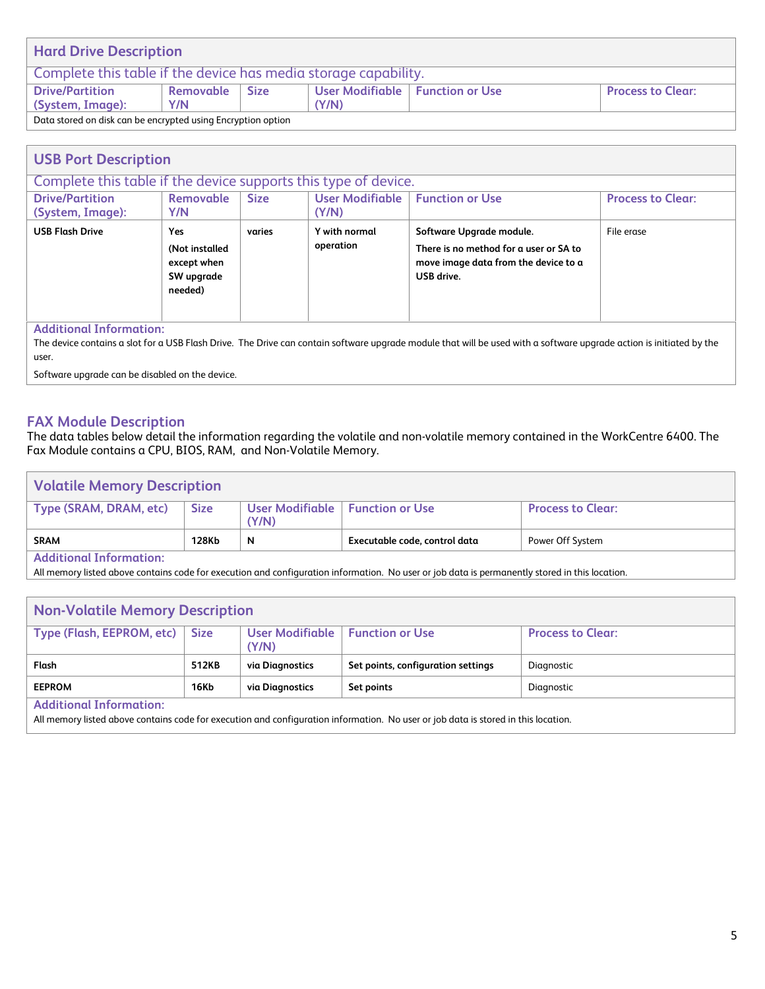| <b>Hard Drive Description</b>                                   |                                                                                           |  |  |  |  |  |
|-----------------------------------------------------------------|-------------------------------------------------------------------------------------------|--|--|--|--|--|
| Complete this table if the device has media storage capability. |                                                                                           |  |  |  |  |  |
| <b>Drive/Partition</b>                                          | User Modifiable   Function or Use<br>Removable<br><b>Size</b><br><b>Process to Clear:</b> |  |  |  |  |  |
| (System, Image):<br>(Y/N)<br>Y/N                                |                                                                                           |  |  |  |  |  |
| Data stored on disk can be encrypted using Encryption option    |                                                                                           |  |  |  |  |  |

| <b>USB Port Description</b>                                                                                                                                            |                                                                                                                                                                                                                                                               |  |  |  |  |  |
|------------------------------------------------------------------------------------------------------------------------------------------------------------------------|---------------------------------------------------------------------------------------------------------------------------------------------------------------------------------------------------------------------------------------------------------------|--|--|--|--|--|
| Complete this table if the device supports this type of device.                                                                                                        |                                                                                                                                                                                                                                                               |  |  |  |  |  |
| <b>User Modifiable</b><br><b>Drive/Partition</b><br>Removable<br><b>Size</b><br><b>Function or Use</b><br><b>Process to Clear:</b><br>(System, Image):<br>Y/N<br>(Y/N) |                                                                                                                                                                                                                                                               |  |  |  |  |  |
| <b>USB Flash Drive</b>                                                                                                                                                 | <b>Yes</b><br><b>Y</b> with normal<br>File erase<br>Software Upgrade module.<br>varies<br>operation<br>There is no method for a user or SA to<br>(Not installed<br>move image data from the device to a<br>except when<br>SW upgrade<br>USB drive.<br>needed) |  |  |  |  |  |
| <b>Additional Information:</b>                                                                                                                                         |                                                                                                                                                                                                                                                               |  |  |  |  |  |

The device contains a slot for a USB Flash Drive. The Drive can contain software upgrade module that will be used with a software upgrade action is initiated by the user.

Software upgrade can be disabled on the device.

#### **FAX Module Description**

The data tables below detail the information regarding the volatile and non-volatile memory contained in the WorkCentre 6400. The Fax Module contains a CPU, BIOS, RAM, and Non-Volatile Memory.

| <b>Volatile Memory Description</b> |             |                                            |                               |                          |  |  |
|------------------------------------|-------------|--------------------------------------------|-------------------------------|--------------------------|--|--|
| Type (SRAM, DRAM, etc)             | <b>Size</b> | User Modifiable   Function or Use<br>(Y/N) |                               | <b>Process to Clear:</b> |  |  |
| <b>SRAM</b>                        | 128Kb       | N                                          | Executable code, control data | Power Off System         |  |  |
| Additional Information:            |             |                                            |                               |                          |  |  |

Information:

All memory listed above contains code for execution and configuration information. No user or job data is permanently stored in this location.

| <b>Non-Volatile Memory Description</b>                                                                                     |       |                 |                                                                                                                                    |            |  |  |
|----------------------------------------------------------------------------------------------------------------------------|-------|-----------------|------------------------------------------------------------------------------------------------------------------------------------|------------|--|--|
| Type (Flash, EEPROM, etc)<br>User Modifiable<br><b>Function or Use</b><br><b>Size</b><br><b>Process to Clear:</b><br>(Y/N) |       |                 |                                                                                                                                    |            |  |  |
| Flash                                                                                                                      | 512KB | via Diagnostics | Set points, configuration settings                                                                                                 | Diagnostic |  |  |
| <b>EEPROM</b><br><b>16Kb</b><br>Set points<br>via Diagnostics<br>Diagnostic                                                |       |                 |                                                                                                                                    |            |  |  |
| <b>Additional Information:</b>                                                                                             |       |                 |                                                                                                                                    |            |  |  |
|                                                                                                                            |       |                 | All memory listed above contains code for execution and configuration information. No user or job data is stored in this location. |            |  |  |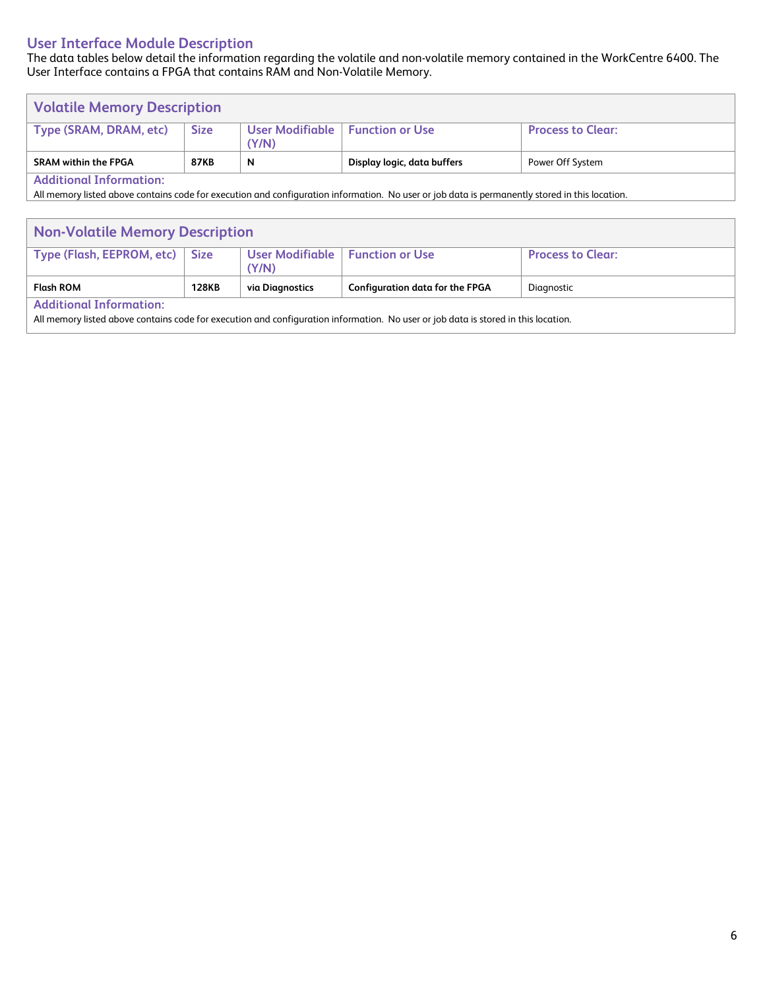#### **User Interface Module Description**

The data tables below detail the information regarding the volatile and non-volatile memory contained in the WorkCentre 6400. The User Interface contains a FPGA that contains RAM and Non-Volatile Memory.

| <b>Volatile Memory Description</b> |             |                                            |                             |                          |  |
|------------------------------------|-------------|--------------------------------------------|-----------------------------|--------------------------|--|
| Type (SRAM, DRAM, etc)             | <b>Size</b> | User Modifiable   Function or Use<br>(Y/N) |                             | <b>Process to Clear:</b> |  |
| <b>SRAM within the FPGA</b>        | <b>87KB</b> | N                                          | Display logic, data buffers | Power Off System         |  |
| Additional Information:            |             |                                            |                             |                          |  |

**Additional Information:**

All memory listed above contains code for execution and configuration information. No user or job data is permanently stored in this location.

| <b>Non-Volatile Memory Description</b>                                                                                                                               |              |                 |                                        |            |  |  |
|----------------------------------------------------------------------------------------------------------------------------------------------------------------------|--------------|-----------------|----------------------------------------|------------|--|--|
| User Modifiable   Function or Use<br>Type (Flash, EEPROM, etc)   Size<br><b>Process to Clear:</b><br>(Y/N)                                                           |              |                 |                                        |            |  |  |
| <b>Flash ROM</b>                                                                                                                                                     | <b>128KB</b> | via Diagnostics | <b>Configuration data for the FPGA</b> | Diagnostic |  |  |
| <b>Additional Information:</b><br>All memory listed above contains code for execution and configuration information. No user or job data is stored in this location. |              |                 |                                        |            |  |  |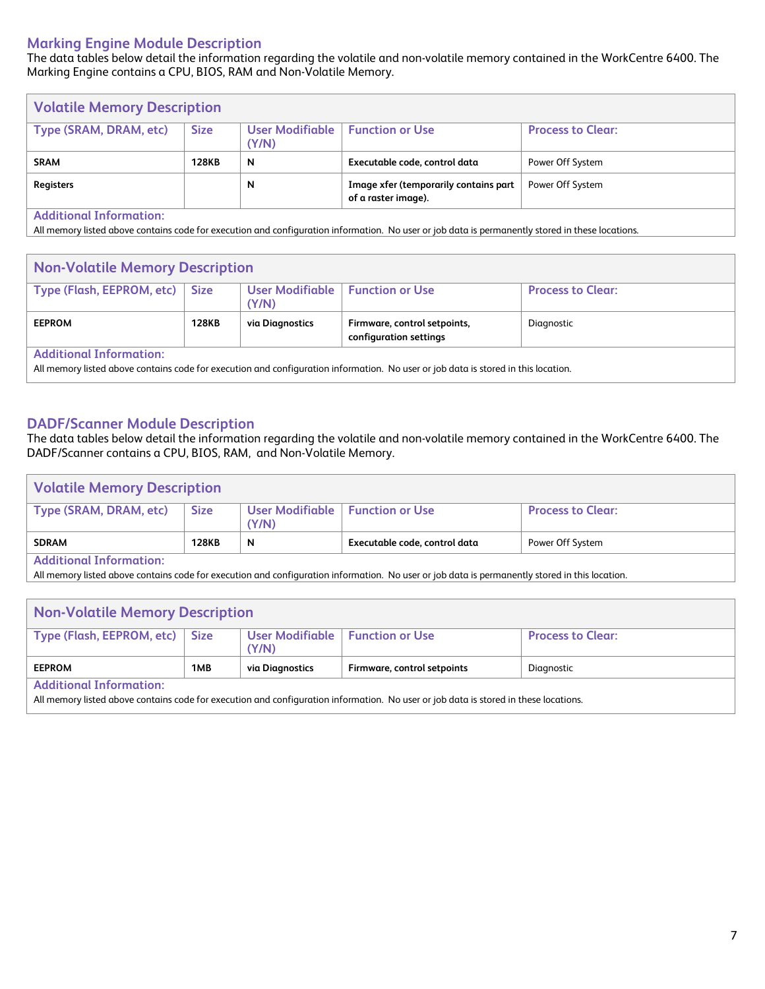#### **Marking Engine Module Description**

The data tables below detail the information regarding the volatile and non-volatile memory contained in the WorkCentre 6400. The Marking Engine contains a CPU, BIOS, RAM and Non-Volatile Memory.

| <b>Volatile Memory Description</b> |              |                          |                                                              |                          |  |
|------------------------------------|--------------|--------------------------|--------------------------------------------------------------|--------------------------|--|
| Type (SRAM, DRAM, etc)             | <b>Size</b>  | User Modifiable<br>(Y/N) | <b>Function or Use</b>                                       | <b>Process to Clear:</b> |  |
| <b>SRAM</b>                        | <b>128KB</b> | $\mathbf N$              | Executable code, control data                                | Power Off System         |  |
| <b>Registers</b>                   |              | N                        | Image xfer (temporarily contains part<br>of a raster image). | Power Off System         |  |
| <b>Additional Information:</b>     |              |                          |                                                              |                          |  |

All memory listed above contains code for execution and configuration information. No user or job data is permanently stored in these locations.

| <b>Non-Volatile Memory Description</b> |              |                            |                              |                          |
|----------------------------------------|--------------|----------------------------|------------------------------|--------------------------|
| Type (Flash, EEPROM, etc)              | <b>Size</b>  | User Modifiable  <br>(Y/N) | <b>Function or Use</b>       | <b>Process to Clear:</b> |
| <b>EEPROM</b>                          | <b>128KB</b> | via Diagnostics            | Firmware, control setpoints, | Diagnostic               |
|                                        |              |                            | configuration settings       |                          |

#### **DADF/Scanner Module Description**

The data tables below detail the information regarding the volatile and non-volatile memory contained in the WorkCentre 6400. The DADF/Scanner contains a CPU, BIOS, RAM, and Non-Volatile Memory.

| <b>Volatile Memory Description</b> |              |                                            |                               |                   |
|------------------------------------|--------------|--------------------------------------------|-------------------------------|-------------------|
| Type (SRAM, DRAM, etc)             | <b>Size</b>  | User Modifiable   Function or Use<br>(Y/N) |                               | Process to Clear: |
| <b>SDRAM</b>                       | <b>128KB</b> | N                                          | Executable code, control data | Power Off System  |
| <b>Additional Information:</b>     |              |                                            |                               |                   |

**Additional Information:**

All memory listed above contains code for execution and configuration information. No user or job data is permanently stored in this location.

| <b>Non-Volatile Memory Description</b>                                                                                                                                 |     |                                            |                             |                          |
|------------------------------------------------------------------------------------------------------------------------------------------------------------------------|-----|--------------------------------------------|-----------------------------|--------------------------|
| Type (Flash, EEPROM, etc)   Size                                                                                                                                       |     | User Modifiable   Function or Use<br>(Y/N) |                             | <b>Process to Clear:</b> |
| <b>EEPROM</b>                                                                                                                                                          | 1MB | via Diagnostics                            | Firmware, control setpoints | Diagnostic               |
| <b>Additional Information:</b><br>All memory listed above contains code for execution and configuration information. No user or job data is stored in these locations. |     |                                            |                             |                          |